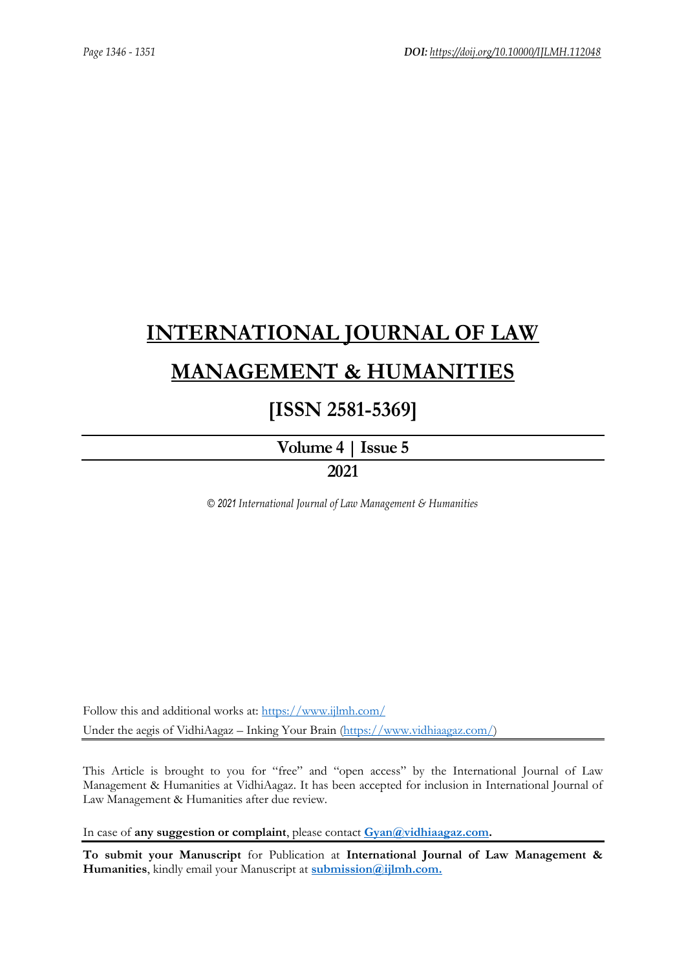# **[INTERNATIONAL JOURNAL OF LAW](https://www.ijlmh.com/)  [MANAGEMENT & HUMANITIES](https://www.ijlmh.com/)**

## **[ISSN 2581-5369]**

**[Volume 4 |](https://www.ijlmh.com/publications/volume-iv-issue-v/) Issue 5**

**2021**

*© 2021 International Journal of Law Management & Humanities*

Follow this and additional works at:<https://www.ijlmh.com/> Under the aegis of VidhiAagaz – Inking Your Brain [\(https://www.vidhiaagaz.com/\)](https://www.vidhiaagaz.com/)

This Article is brought to you for "free" and "open access" by the International Journal of Law Management & Humanities at VidhiAagaz. It has been accepted for inclusion in International Journal of Law Management & Humanities after due review.

In case of **any suggestion or complaint**, please contact **[Gyan@vidhiaagaz.com.](mailto:Gyan@vidhiaagaz.com)** 

**To submit your Manuscript** for Publication at **International Journal of Law Management & Humanities**, kindly email your Manuscript at **[submission@ijlmh.com.](mailto:submission@ijlmh.com)**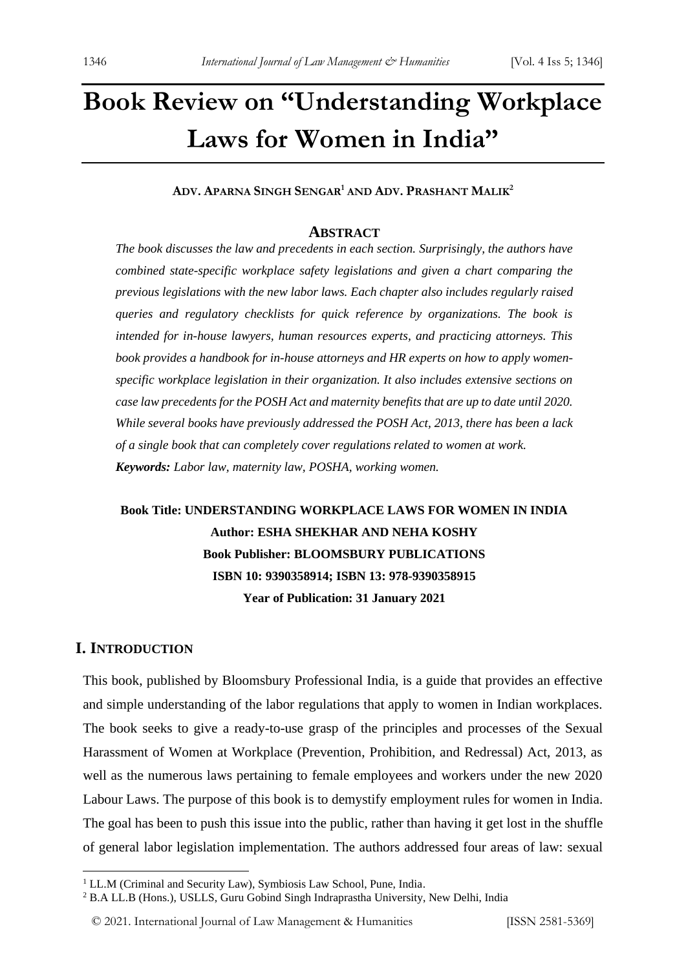## **Book Review on "Understanding Workplace Laws for Women in India"**

**ADV. APARNA SINGH SENGAR<sup>1</sup> AND ADV. PRASHANT MALIK<sup>2</sup>**

#### **ABSTRACT**

*The book discusses the law and precedents in each section. Surprisingly, the authors have combined state-specific workplace safety legislations and given a chart comparing the previous legislations with the new labor laws. Each chapter also includes regularly raised queries and regulatory checklists for quick reference by organizations. The book is intended for in-house lawyers, human resources experts, and practicing attorneys. This book provides a handbook for in-house attorneys and HR experts on how to apply womenspecific workplace legislation in their organization. It also includes extensive sections on case law precedents for the POSH Act and maternity benefits that are up to date until 2020. While several books have previously addressed the POSH Act, 2013, there has been a lack of a single book that can completely cover regulations related to women at work. Keywords: Labor law, maternity law, POSHA, working women.*

## **Book Title: UNDERSTANDING WORKPLACE LAWS FOR WOMEN IN INDIA Author: ESHA SHEKHAR AND NEHA KOSHY Book Publisher: BLOOMSBURY PUBLICATIONS ISBN 10: 9390358914; ISBN 13: 978-9390358915 Year of Publication: 31 January 2021**

### **I. INTRODUCTION**

This book, published by Bloomsbury Professional India, is a guide that provides an effective and simple understanding of the labor regulations that apply to women in Indian workplaces. The book seeks to give a ready-to-use grasp of the principles and processes of the Sexual Harassment of Women at Workplace (Prevention, Prohibition, and Redressal) Act, 2013, as well as the numerous laws pertaining to female employees and workers under the new 2020 Labour Laws. The purpose of this book is to demystify employment rules for women in India. The goal has been to push this issue into the public, rather than having it get lost in the shuffle of general labor legislation implementation. The authors addressed four areas of law: sexual

<sup>&</sup>lt;sup>1</sup> LL.M (Criminal and Security Law), Symbiosis Law School, Pune, India.

<sup>2</sup> B.A LL.B (Hons.), USLLS, Guru Gobind Singh Indraprastha University, New Delhi, India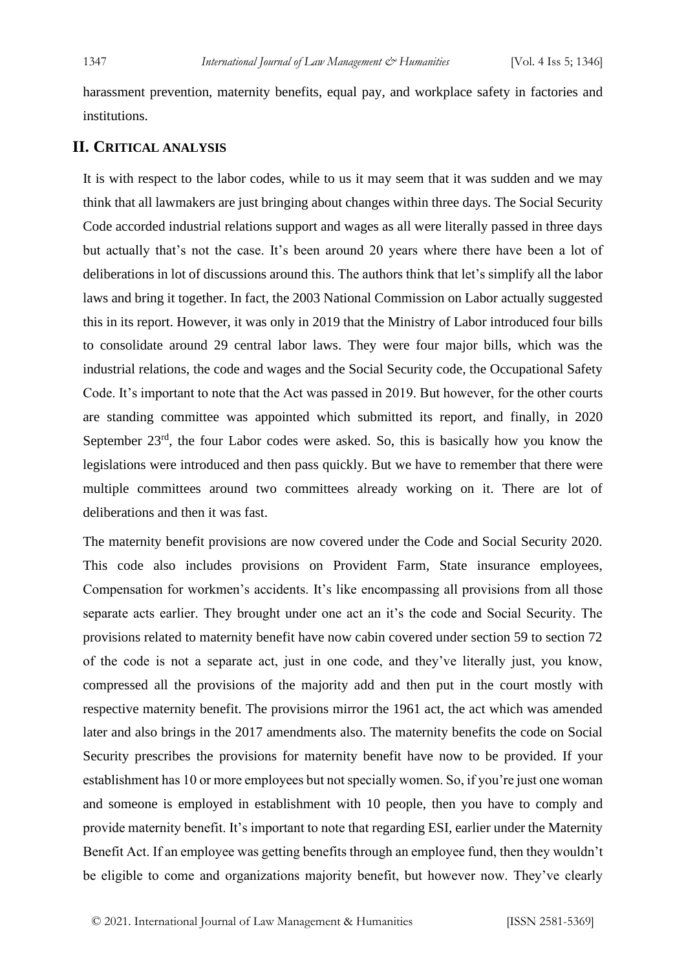harassment prevention, maternity benefits, equal pay, and workplace safety in factories and institutions.

## **II. CRITICAL ANALYSIS**

It is with respect to the labor codes, while to us it may seem that it was sudden and we may think that all lawmakers are just bringing about changes within three days. The Social Security Code accorded industrial relations support and wages as all were literally passed in three days but actually that's not the case. It's been around 20 years where there have been a lot of deliberations in lot of discussions around this. The authors think that let's simplify all the labor laws and bring it together. In fact, the 2003 National Commission on Labor actually suggested this in its report. However, it was only in 2019 that the Ministry of Labor introduced four bills to consolidate around 29 central labor laws. They were four major bills, which was the industrial relations, the code and wages and the Social Security code, the Occupational Safety Code. It's important to note that the Act was passed in 2019. But however, for the other courts are standing committee was appointed which submitted its report, and finally, in 2020 September 23<sup>rd</sup>, the four Labor codes were asked. So, this is basically how you know the legislations were introduced and then pass quickly. But we have to remember that there were multiple committees around two committees already working on it. There are lot of deliberations and then it was fast.

The maternity benefit provisions are now covered under the Code and Social Security 2020. This code also includes provisions on Provident Farm, State insurance employees, Compensation for workmen's accidents. It's like encompassing all provisions from all those separate acts earlier. They brought under one act an it's the code and Social Security. The provisions related to maternity benefit have now cabin covered under section 59 to section 72 of the code is not a separate act, just in one code, and they've literally just, you know, compressed all the provisions of the majority add and then put in the court mostly with respective maternity benefit. The provisions mirror the 1961 act, the act which was amended later and also brings in the 2017 amendments also. The maternity benefits the code on Social Security prescribes the provisions for maternity benefit have now to be provided. If your establishment has 10 or more employees but not specially women. So, if you're just one woman and someone is employed in establishment with 10 people, then you have to comply and provide maternity benefit. It's important to note that regarding ESI, earlier under the Maternity Benefit Act. If an employee was getting benefits through an employee fund, then they wouldn't be eligible to come and organizations majority benefit, but however now. They've clearly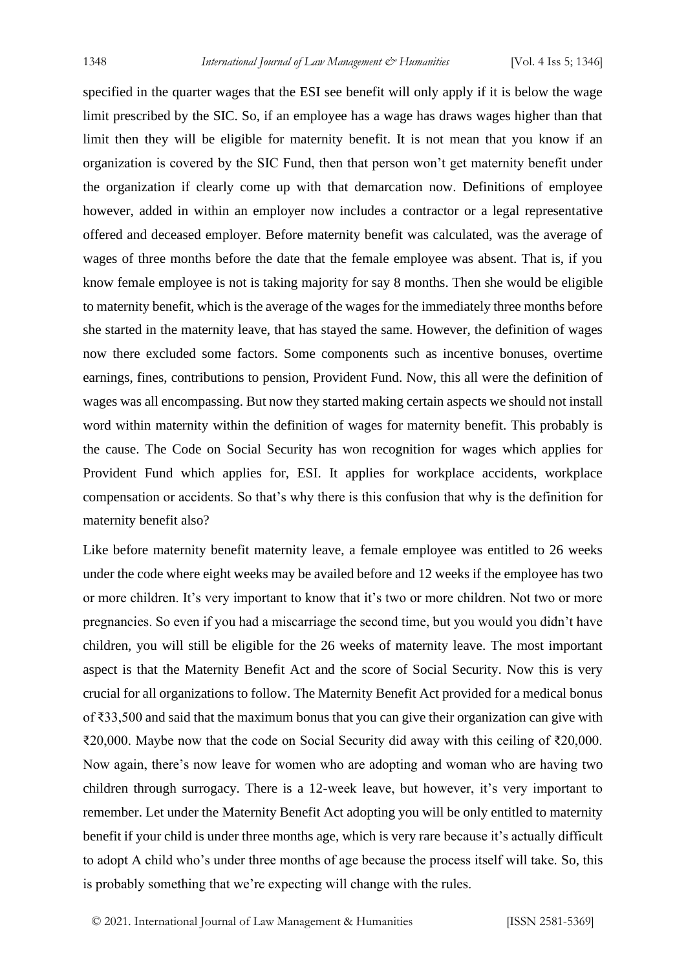specified in the quarter wages that the ESI see benefit will only apply if it is below the wage limit prescribed by the SIC. So, if an employee has a wage has draws wages higher than that limit then they will be eligible for maternity benefit. It is not mean that you know if an organization is covered by the SIC Fund, then that person won't get maternity benefit under the organization if clearly come up with that demarcation now. Definitions of employee however, added in within an employer now includes a contractor or a legal representative offered and deceased employer. Before maternity benefit was calculated, was the average of wages of three months before the date that the female employee was absent. That is, if you know female employee is not is taking majority for say 8 months. Then she would be eligible to maternity benefit, which is the average of the wages for the immediately three months before she started in the maternity leave, that has stayed the same. However, the definition of wages now there excluded some factors. Some components such as incentive bonuses, overtime earnings, fines, contributions to pension, Provident Fund. Now, this all were the definition of wages was all encompassing. But now they started making certain aspects we should not install word within maternity within the definition of wages for maternity benefit. This probably is the cause. The Code on Social Security has won recognition for wages which applies for Provident Fund which applies for, ESI. It applies for workplace accidents, workplace compensation or accidents. So that's why there is this confusion that why is the definition for maternity benefit also?

Like before maternity benefit maternity leave, a female employee was entitled to 26 weeks under the code where eight weeks may be availed before and 12 weeks if the employee has two or more children. It's very important to know that it's two or more children. Not two or more pregnancies. So even if you had a miscarriage the second time, but you would you didn't have children, you will still be eligible for the 26 weeks of maternity leave. The most important aspect is that the Maternity Benefit Act and the score of Social Security. Now this is very crucial for all organizations to follow. The Maternity Benefit Act provided for a medical bonus of ₹33,500 and said that the maximum bonus that you can give their organization can give with ₹20,000. Maybe now that the code on Social Security did away with this ceiling of ₹20,000. Now again, there's now leave for women who are adopting and woman who are having two children through surrogacy. There is a 12-week leave, but however, it's very important to remember. Let under the Maternity Benefit Act adopting you will be only entitled to maternity benefit if your child is under three months age, which is very rare because it's actually difficult to adopt A child who's under three months of age because the process itself will take. So, this is probably something that we're expecting will change with the rules.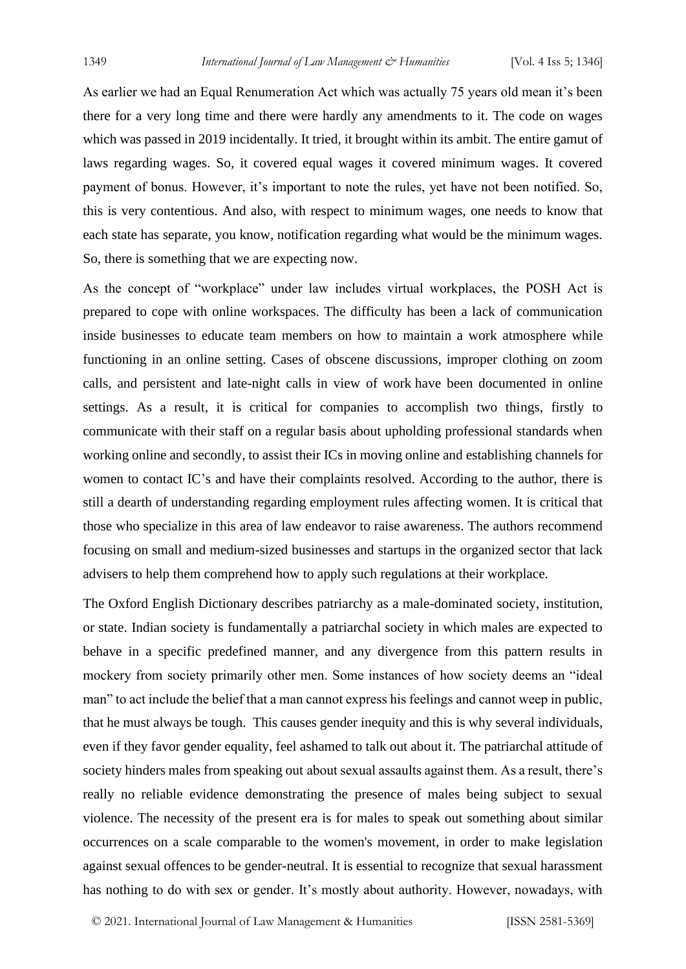As earlier we had an Equal Renumeration Act which was actually 75 years old mean it's been there for a very long time and there were hardly any amendments to it. The code on wages which was passed in 2019 incidentally. It tried, it brought within its ambit. The entire gamut of laws regarding wages. So, it covered equal wages it covered minimum wages. It covered payment of bonus. However, it's important to note the rules, yet have not been notified. So, this is very contentious. And also, with respect to minimum wages, one needs to know that each state has separate, you know, notification regarding what would be the minimum wages. So, there is something that we are expecting now.

As the concept of "workplace" under law includes virtual workplaces, the POSH Act is prepared to cope with online workspaces. The difficulty has been a lack of communication inside businesses to educate team members on how to maintain a work atmosphere while functioning in an online setting. Cases of obscene discussions, improper clothing on zoom calls, and persistent and late-night calls in view of work have been documented in online settings. As a result, it is critical for companies to accomplish two things, firstly to communicate with their staff on a regular basis about upholding professional standards when working online and secondly, to assist their ICs in moving online and establishing channels for women to contact IC's and have their complaints resolved. According to the author, there is still a dearth of understanding regarding employment rules affecting women. It is critical that those who specialize in this area of law endeavor to raise awareness. The authors recommend focusing on small and medium-sized businesses and startups in the organized sector that lack advisers to help them comprehend how to apply such regulations at their workplace.

The Oxford English Dictionary describes patriarchy as a male-dominated society, institution, or state. Indian society is fundamentally a patriarchal society in which males are expected to behave in a specific predefined manner, and any divergence from this pattern results in mockery from society primarily other men. Some instances of how society deems an "ideal man" to act include the belief that a man cannot express his feelings and cannot weep in public, that he must always be tough. This causes gender inequity and this is why several individuals, even if they favor gender equality, feel ashamed to talk out about it. The patriarchal attitude of society hinders males from speaking out about sexual assaults against them. As a result, there's really no reliable evidence demonstrating the presence of males being subject to sexual violence. The necessity of the present era is for males to speak out something about similar occurrences on a scale comparable to the women's movement, in order to make legislation against sexual offences to be gender-neutral. It is essential to recognize that sexual harassment has nothing to do with sex or gender. It's mostly about authority. However, nowadays, with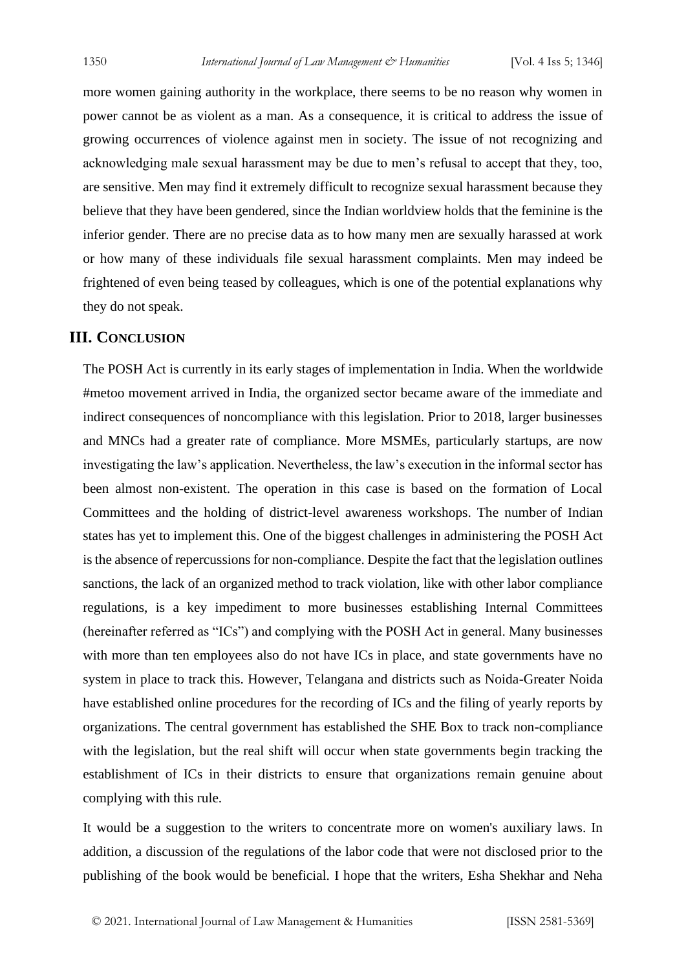more women gaining authority in the workplace, there seems to be no reason why women in power cannot be as violent as a man. As a consequence, it is critical to address the issue of growing occurrences of violence against men in society. The issue of not recognizing and acknowledging male sexual harassment may be due to men's refusal to accept that they, too, are sensitive. Men may find it extremely difficult to recognize sexual harassment because they believe that they have been gendered, since the Indian worldview holds that the feminine is the inferior gender. There are no precise data as to how many men are sexually harassed at work or how many of these individuals file sexual harassment complaints. Men may indeed be frightened of even being teased by colleagues, which is one of the potential explanations why they do not speak.

## **III. CONCLUSION**

The POSH Act is currently in its early stages of implementation in India. When the worldwide #metoo movement arrived in India, the organized sector became aware of the immediate and indirect consequences of noncompliance with this legislation. Prior to 2018, larger businesses and MNCs had a greater rate of compliance. More MSMEs, particularly startups, are now investigating the law's application. Nevertheless, the law's execution in the informal sector has been almost non-existent. The operation in this case is based on the formation of Local Committees and the holding of district-level awareness workshops. The number of Indian states has yet to implement this. One of the biggest challenges in administering the POSH Act is the absence of repercussions for non-compliance. Despite the fact that the legislation outlines sanctions, the lack of an organized method to track violation, like with other labor compliance regulations, is a key impediment to more businesses establishing Internal Committees (hereinafter referred as "ICs") and complying with the POSH Act in general. Many businesses with more than ten employees also do not have ICs in place, and state governments have no system in place to track this. However, Telangana and districts such as Noida-Greater Noida have established online procedures for the recording of ICs and the filing of yearly reports by organizations. The central government has established the SHE Box to track non-compliance with the legislation, but the real shift will occur when state governments begin tracking the establishment of ICs in their districts to ensure that organizations remain genuine about complying with this rule.

It would be a suggestion to the writers to concentrate more on women's auxiliary laws. In addition, a discussion of the regulations of the labor code that were not disclosed prior to the publishing of the book would be beneficial. I hope that the writers, Esha Shekhar and Neha